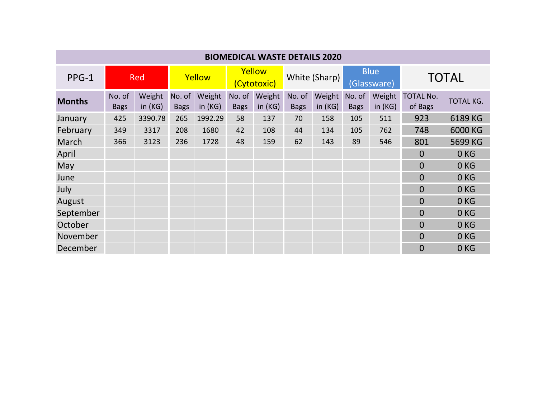| <b>BIOMEDICAL WASTE DETAILS 2020</b> |                       |                     |                       |                     |                       |                     |                       |                  |                            |                     |                             |                  |
|--------------------------------------|-----------------------|---------------------|-----------------------|---------------------|-----------------------|---------------------|-----------------------|------------------|----------------------------|---------------------|-----------------------------|------------------|
| PPG-1                                | <b>Red</b>            |                     | Yellow                |                     | Yellow<br>(Cytotoxic) |                     | White (Sharp)         |                  | <b>Blue</b><br>(Glassware) |                     | <b>TOTAL</b>                |                  |
| <b>Months</b>                        | No. of<br><b>Bags</b> | Weight<br>in $(KG)$ | No. of<br><b>Bags</b> | Weight<br>in $(KG)$ | No. of<br><b>Bags</b> | Weight<br>in $(KG)$ | No. of<br><b>Bags</b> | Weight<br>in(KG) | No. of<br><b>Bags</b>      | Weight<br>in $(KG)$ | <b>TOTAL No.</b><br>of Bags | <b>TOTAL KG.</b> |
| January                              | 425                   | 3390.78             | 265                   | 1992.29             | 58                    | 137                 | 70                    | 158              | 105                        | 511                 | 923                         | 6189 KG          |
| February                             | 349                   | 3317                | 208                   | 1680                | 42                    | 108                 | 44                    | 134              | 105                        | 762                 | 748                         | 6000 KG          |
| March                                | 366                   | 3123                | 236                   | 1728                | 48                    | 159                 | 62                    | 143              | 89                         | 546                 | 801                         | 5699 KG          |
| April                                |                       |                     |                       |                     |                       |                     |                       |                  |                            |                     | $\Omega$                    | 0 <sub>KG</sub>  |
| May                                  |                       |                     |                       |                     |                       |                     |                       |                  |                            |                     | $\Omega$                    | 0 <sub>KG</sub>  |
| June                                 |                       |                     |                       |                     |                       |                     |                       |                  |                            |                     | $\overline{0}$              | 0 <sub>KG</sub>  |
| July                                 |                       |                     |                       |                     |                       |                     |                       |                  |                            |                     | $\Omega$                    | 0 <sub>KG</sub>  |
| August                               |                       |                     |                       |                     |                       |                     |                       |                  |                            |                     | $\overline{0}$              | 0 <sub>KG</sub>  |
| September                            |                       |                     |                       |                     |                       |                     |                       |                  |                            |                     | $\overline{0}$              | 0 <sub>KG</sub>  |
| October                              |                       |                     |                       |                     |                       |                     |                       |                  |                            |                     | $\Omega$                    | 0 <sub>KG</sub>  |
| November                             |                       |                     |                       |                     |                       |                     |                       |                  |                            |                     | $\Omega$                    | 0 <sub>KG</sub>  |
| December                             |                       |                     |                       |                     |                       |                     |                       |                  |                            |                     | $\overline{0}$              | 0 <sub>KG</sub>  |